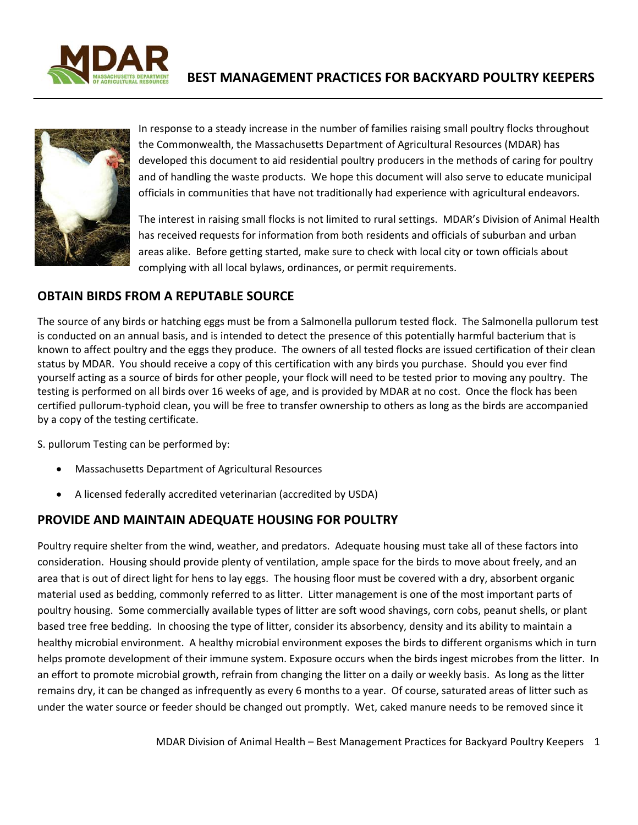



In response to a steady increase in the number of families raising small poultry flocks throughout the Commonwealth, the Massachusetts Department of Agricultural Resources (MDAR) has developed this document to aid residential poultry producers in the methods of caring for poultry and of handling the waste products. We hope this document will also serve to educate municipal officials in communities that have not traditionally had experience with agricultural endeavors.

The interest in raising small flocks is not limited to rural settings. MDAR's Division of Animal Health has received requests for information from both residents and officials of suburban and urban areas alike. Before getting started, make sure to check with local city or town officials about complying with all local bylaws, ordinances, or permit requirements.

#### **OBTAIN BIRDS FROM A REPUTABLE SOURCE**

The source of any birds or hatching eggs must be from a Salmonella pullorum tested flock. The Salmonella pullorum test is conducted on an annual basis, and is intended to detect the presence of this potentially harmful bacterium that is known to affect poultry and the eggs they produce. The owners of all tested flocks are issued certification of their clean status by MDAR. You should receive a copy of this certification with any birds you purchase. Should you ever find yourself acting as a source of birds for other people, your flock will need to be tested prior to moving any poultry. The testing is performed on all birds over 16 weeks of age, and is provided by MDAR at no cost. Once the flock has been certified pullorum‐typhoid clean, you will be free to transfer ownership to others as long as the birds are accompanied by a copy of the testing certificate.

S. pullorum Testing can be performed by:

- Massachusetts Department of Agricultural Resources
- A licensed federally accredited veterinarian (accredited by USDA)

### **PROVIDE AND MAINTAIN ADEQUATE HOUSING FOR POULTRY**

Poultry require shelter from the wind, weather, and predators. Adequate housing must take all of these factors into consideration. Housing should provide plenty of ventilation, ample space for the birds to move about freely, and an area that is out of direct light for hens to lay eggs. The housing floor must be covered with a dry, absorbent organic material used as bedding, commonly referred to as litter. Litter management is one of the most important parts of poultry housing. Some commercially available types of litter are soft wood shavings, corn cobs, peanut shells, or plant based tree free bedding. In choosing the type of litter, consider its absorbency, density and its ability to maintain a healthy microbial environment. A healthy microbial environment exposes the birds to different organisms which in turn helps promote development of their immune system. Exposure occurs when the birds ingest microbes from the litter. In an effort to promote microbial growth, refrain from changing the litter on a daily or weekly basis. As long as the litter remains dry, it can be changed as infrequently as every 6 months to a year. Of course, saturated areas of litter such as under the water source or feeder should be changed out promptly. Wet, caked manure needs to be removed since it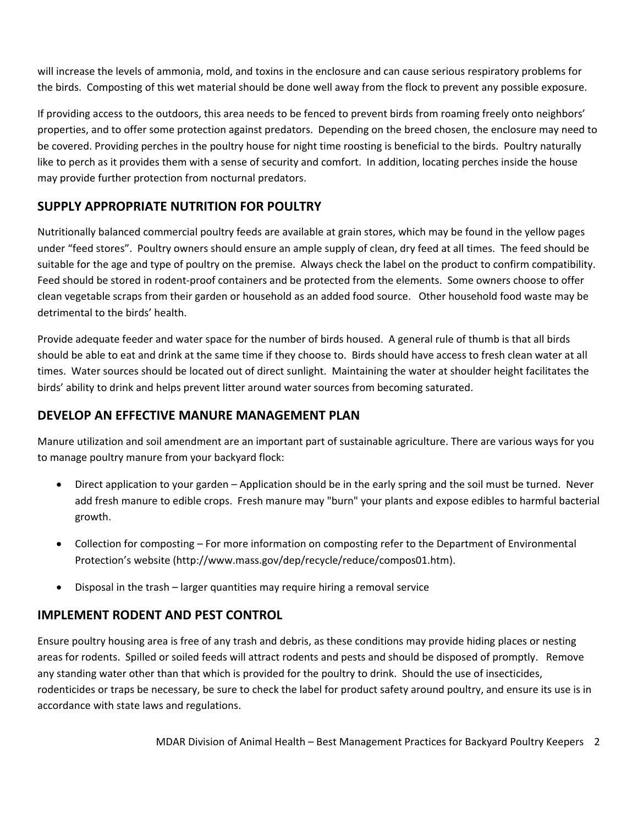will increase the levels of ammonia, mold, and toxins in the enclosure and can cause serious respiratory problems for the birds. Composting of this wet material should be done well away from the flock to prevent any possible exposure.

If providing access to the outdoors, this area needs to be fenced to prevent birds from roaming freely onto neighbors' properties, and to offer some protection against predators. Depending on the breed chosen, the enclosure may need to be covered. Providing perches in the poultry house for night time roosting is beneficial to the birds. Poultry naturally like to perch as it provides them with a sense of security and comfort. In addition, locating perches inside the house may provide further protection from nocturnal predators.

# **SUPPLY APPROPRIATE NUTRITION FOR POULTRY**

Nutritionally balanced commercial poultry feeds are available at grain stores, which may be found in the yellow pages under "feed stores". Poultry owners should ensure an ample supply of clean, dry feed at all times. The feed should be suitable for the age and type of poultry on the premise. Always check the label on the product to confirm compatibility. Feed should be stored in rodent-proof containers and be protected from the elements. Some owners choose to offer clean vegetable scraps from their garden or household as an added food source. Other household food waste may be detrimental to the birds' health.

Provide adequate feeder and water space for the number of birds housed. A general rule of thumb is that all birds should be able to eat and drink at the same time if they choose to. Birds should have access to fresh clean water at all times. Water sources should be located out of direct sunlight. Maintaining the water at shoulder height facilitates the birds' ability to drink and helps prevent litter around water sources from becoming saturated.

### **DEVELOP AN EFFECTIVE MANURE MANAGEMENT PLAN**

Manure utilization and soil amendment are an important part of sustainable agriculture. There are various ways for you to manage poultry manure from your backyard flock:

- Direct application to your garden Application should be in the early spring and the soil must be turned. Never add fresh manure to edible crops. Fresh manure may "burn" your plants and expose edibles to harmful bacterial growth.
- Collection for composting For more information on composting refer to the Department of Environmental Protection's website (http://www.mass.gov/dep/recycle/reduce/compos01.htm).
- Disposal in the trash larger quantities may require hiring a removal service

### **IMPLEMENT RODENT AND PEST CONTROL**

Ensure poultry housing area is free of any trash and debris, as these conditions may provide hiding places or nesting areas for rodents. Spilled or soiled feeds will attract rodents and pests and should be disposed of promptly. Remove any standing water other than that which is provided for the poultry to drink. Should the use of insecticides, rodenticides or traps be necessary, be sure to check the label for product safety around poultry, and ensure its use is in accordance with state laws and regulations.